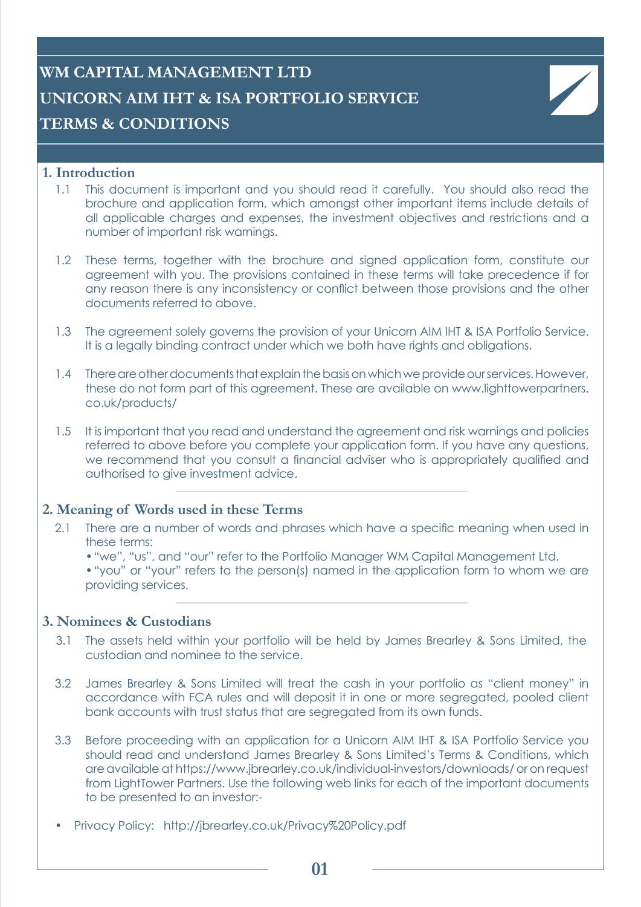# **WM CAPITAL MANAGEMENT LTD UNICORN AIM IHT & ISA PORTFOLIO SERVICE TERMS & CONDITIONS**

#### **1. Introduction**

- 1.1 This document is important and you should read it carefully. You should also read the brochure and application form, which amongst other important items include details of all applicable charges and expenses, the investment objectives and restrictions and a number of important risk warnings.
- 1.2 These terms, together with the brochure and signed application form, constitute our agreement with you. The provisions contained in these terms will take precedence if for any reason there is any inconsistency or conflict between those provisions and the other documents referred to above.
- 1.3 The agreement solely governs the provision of your Unicorn AIM IHT & ISA Portfolio Service. It is a legally binding contract under which we both have rights and obligations.
- 1.4 There are other documents that explain the basis on which we provide our services. However, these do not form part of this agreement. These are available on www.lighttowerpartners. co.uk/products/
- 1.5 It is important that you read and understand the agreement and risk warnings and policies referred to above before you complete your application form. If you have any questions, we recommend that you consult a financial adviser who is appropriately qualified and authorised to give investment advice.

#### **2. Meaning of Words used in these Terms**

- 2.1 There are a number of words and phrases which have a specific meaning when used in these terms:
	- •"we", "us", and "our" refer to the Portfolio Manager WM Capital Management Ltd.
	- •"you" or "your" refers to the person(s) named in the application form to whom we are providing services.

#### **3. Nominees & Custodians**

- 3.1 The assets held within your portfolio will be held by James Brearley & Sons Limited, the custodian and nominee to the service.
- 3.2 James Brearley & Sons Limited will treat the cash in your portfolio as "client money" in accordance with FCA rules and will deposit it in one or more segregated, pooled client bank accounts with trust status that are segregated from its own funds.
- 3.3 Before proceeding with an application for a Unicorn AIM IHT & ISA Portfolio Service you should read and understand James Brearley & Sons Limited's Terms & Conditions, which are available at https://www.jbrearley.co.uk/individual-investors/downloads/ or on request from LightTower Partners. Use the following web links for each of the important documents to be presented to an investor:-
- Privacy Policy: http://jbrearley.co.uk/Privacy%20Policy.pdf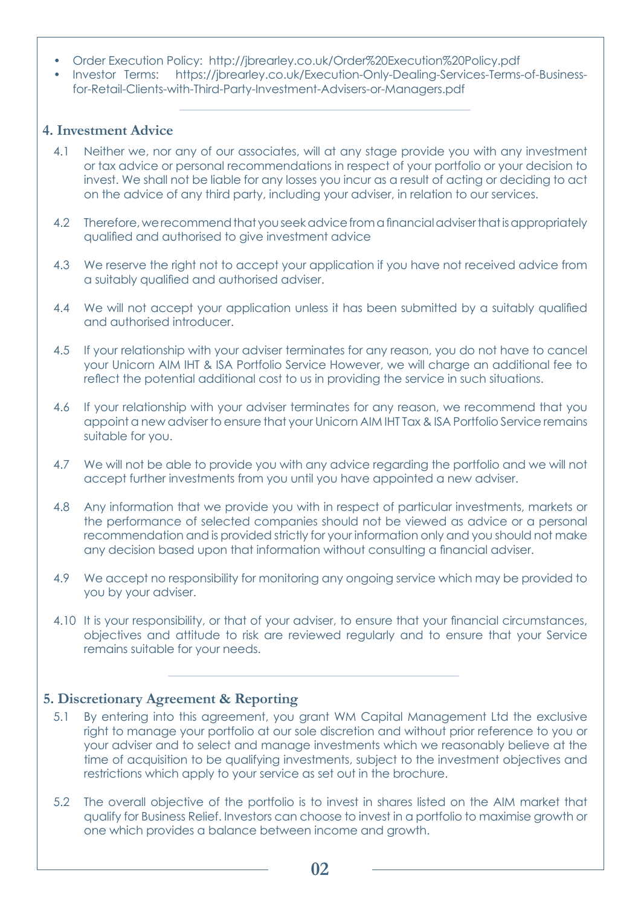- Order Execution Policy: http://jbrearley.co.uk/Order%20Execution%20Policy.pdf
- Investor Terms: https://jbrearley.co.uk/Execution-Only-Dealing-Services-Terms-of-Businessfor-Retail-Clients-with-Third-Party-Investment-Advisers-or-Managers.pdf

## **4. Investment Advice**

- 4.1 Neither we, nor any of our associates, will at any stage provide you with any investment or tax advice or personal recommendations in respect of your portfolio or your decision to invest. We shall not be liable for any losses you incur as a result of acting or deciding to act on the advice of any third party, including your adviser, in relation to our services.
- 4.2 Therefore, we recommend that you seek advice from a financial adviser that is appropriately qualified and authorised to give investment advice
- 4.3 We reserve the right not to accept your application if you have not received advice from a suitably qualified and authorised adviser.
- 4.4 We will not accept your application unless it has been submitted by a suitably qualified and authorised introducer.
- 4.5 If your relationship with your adviser terminates for any reason, you do not have to cancel your Unicorn AIM IHT & ISA Portfolio Service However, we will charge an additional fee to reflect the potential additional cost to us in providing the service in such situations.
- 4.6 If your relationship with your adviser terminates for any reason, we recommend that you appoint a new adviser to ensure that your Unicorn AIM IHT Tax & ISA Portfolio Service remains suitable for you.
- 4.7 We will not be able to provide you with any advice regarding the portfolio and we will not accept further investments from you until you have appointed a new adviser.
- 4.8 Any information that we provide you with in respect of particular investments, markets or the performance of selected companies should not be viewed as advice or a personal recommendation and is provided strictly for your information only and you should not make any decision based upon that information without consulting a financial adviser.
- 4.9 We accept no responsibility for monitoring any ongoing service which may be provided to you by your adviser.
- 4.10 It is your responsibility, or that of your adviser, to ensure that your financial circumstances, objectives and attitude to risk are reviewed regularly and to ensure that your Service remains suitable for your needs.

#### **5. Discretionary Agreement & Reporting**

- 5.1 By entering into this agreement, you grant WM Capital Management Ltd the exclusive right to manage your portfolio at our sole discretion and without prior reference to you or your adviser and to select and manage investments which we reasonably believe at the time of acquisition to be qualifying investments, subject to the investment objectives and restrictions which apply to your service as set out in the brochure.
- 5.2 The overall objective of the portfolio is to invest in shares listed on the AIM market that qualify for Business Relief. Investors can choose to invest in a portfolio to maximise growth or one which provides a balance between income and growth.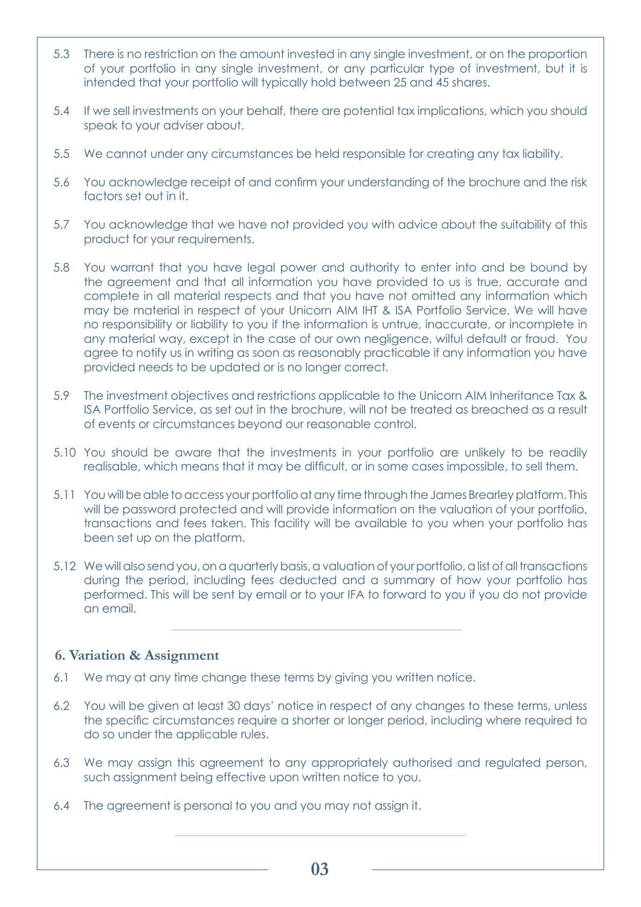- 5.3 There is no restriction on the amount invested in any single investment, or on the proportion of your portfolio in any single investment, or any particular type of investment, but it is intended that your portfolio will typically hold between 25 and 45 shares.
- 5.4 If we sell investments on your behalf, there are potential tax implications, which you should speak to your adviser about.
- 5.5 We cannot under any circumstances be held responsible for creating any tax liability.
- 5.6 You acknowledge receipt of and confirm your understanding of the brochure and the risk factors set out in it.
- 5.7 You acknowledge that we have not provided you with advice about the suitability of this product for your requirements.
- 5.8 You warrant that you have legal power and authority to enter into and be bound by the agreement and that all information you have provided to us is true, accurate and complete in all material respects and that you have not omitted any information which may be material in respect of your Unicorn AIM IHT & ISA Portfolio Service. We will have no responsibility or liability to you if the information is untrue, inaccurate, or incomplete in any material way, except in the case of our own negligence, wilful default or fraud. You agree to notify us in writing as soon as reasonably practicable if any information you have provided needs to be updated or is no longer correct.
- 5.9 The investment objectives and restrictions applicable to the Unicorn AIM Inheritance Tax & ISA Portfolio Service, as set out in the brochure, will not be treated as breached as a result of events or circumstances beyond our reasonable control.
- 5.10 You should be aware that the investments in your portfolio are unlikely to be readily realisable, which means that it may be difficult, or in some cases impossible, to sell them.
- 5.11 You will be able to access your portfolio at any time through the James Brearley platform. This will be password protected and will provide information on the valuation of your portfolio, transactions and fees taken. This facility will be available to you when your portfolio has been set up on the platform.
- 5.12 We will also send you, on a quarterly basis, a valuation of your portfolio, a list of all transactions during the period, including fees deducted and a summary of how your portfolio has performed. This will be sent by email or to your IFA to forward to you if you do not provide an email.

#### **6. Variation & Assignment**

- 6.1 We may at any time change these terms by giving you written notice.
- 6.2 You will be given at least 30 days' notice in respect of any changes to these terms, unless the specific circumstances require a shorter or longer period, including where required to do so under the applicable rules.
- 6.3 We may assign this agreement to any appropriately authorised and regulated person, such assignment being effective upon written notice to you.
- 6.4 The agreement is personal to you and you may not assign it.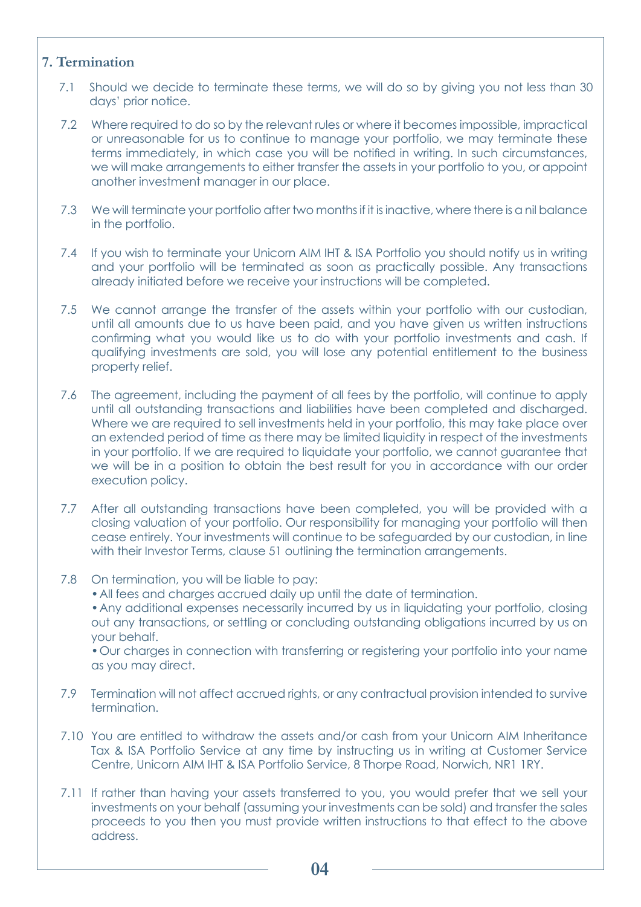## **7. Termination**

- 7.1 Should we decide to terminate these terms, we will do so by giving you not less than 30 days' prior notice.
- 7.2 Where required to do so by the relevant rules or where it becomes impossible, impractical or unreasonable for us to continue to manage your portfolio, we may terminate these terms immediately, in which case you will be notified in writing. In such circumstances, we will make arrangements to either transfer the assets in your portfolio to you, or appoint another investment manager in our place.
- 7.3 We will terminate your portfolio after two months if it is inactive, where there is a nil balance in the portfolio.
- 7.4 If you wish to terminate your Unicorn AIM IHT & ISA Portfolio you should notify us in writing and your portfolio will be terminated as soon as practically possible. Any transactions already initiated before we receive your instructions will be completed.
- 7.5 We cannot arrange the transfer of the assets within your portfolio with our custodian, until all amounts due to us have been paid, and you have given us written instructions confirming what you would like us to do with your portfolio investments and cash. If qualifying investments are sold, you will lose any potential entitlement to the business property relief.
- 7.6 The agreement, including the payment of all fees by the portfolio, will continue to apply until all outstanding transactions and liabilities have been completed and discharged. Where we are required to sell investments held in your portfolio, this may take place over an extended period of time as there may be limited liquidity in respect of the investments in your portfolio. If we are required to liquidate your portfolio, we cannot guarantee that we will be in a position to obtain the best result for you in accordance with our order execution policy.
- 7.7 After all outstanding transactions have been completed, you will be provided with a closing valuation of your portfolio. Our responsibility for managing your portfolio will then cease entirely. Your investments will continue to be safeguarded by our custodian, in line with their Investor Terms, clause 51 outlining the termination arrangements.
- 7.8 On termination, you will be liable to pay:
	- •All fees and charges accrued daily up until the date of termination.
	- •Any additional expenses necessarily incurred by us in liquidating your portfolio, closing out any transactions, or settling or concluding outstanding obligations incurred by us on your behalf.

•Our charges in connection with transferring or registering your portfolio into your name as you may direct.

- 7.9 Termination will not affect accrued rights, or any contractual provision intended to survive termination.
- 7.10 You are entitled to withdraw the assets and/or cash from your Unicorn AIM Inheritance Tax & ISA Portfolio Service at any time by instructing us in writing at Customer Service Centre, Unicorn AIM IHT & ISA Portfolio Service, 8 Thorpe Road, Norwich, NR1 1RY.
- 7.11 If rather than having your assets transferred to you, you would prefer that we sell your investments on your behalf (assuming your investments can be sold) and transfer the sales proceeds to you then you must provide written instructions to that effect to the above address.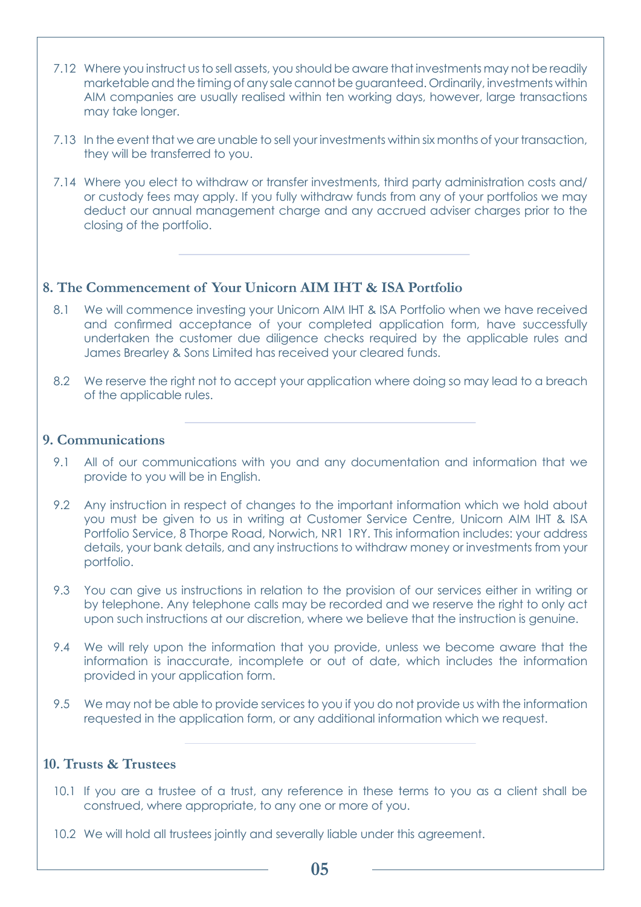- 7.12 Where you instruct us to sell assets, you should be aware that investments may not be readily marketable and the timing of any sale cannot be guaranteed. Ordinarily, investments within AIM companies are usually realised within ten working days, however, large transactions may take longer.
- 7.13 In the event that we are unable to sell your investments within six months of your transaction, they will be transferred to you.
- 7.14 Where you elect to withdraw or transfer investments, third party administration costs and/ or custody fees may apply. If you fully withdraw funds from any of your portfolios we may deduct our annual management charge and any accrued adviser charges prior to the closing of the portfolio.

#### **8. The Commencement of Your Unicorn AIM IHT & ISA Portfolio**

- 8.1 We will commence investing your Unicorn AIM IHT & ISA Portfolio when we have received and confirmed acceptance of your completed application form, have successfully undertaken the customer due diligence checks required by the applicable rules and James Brearley & Sons Limited has received your cleared funds.
- 8.2 We reserve the right not to accept your application where doing so may lead to a breach of the applicable rules.

#### **9. Communications**

- 9.1 All of our communications with you and any documentation and information that we provide to you will be in English.
- 9.2 Any instruction in respect of changes to the important information which we hold about you must be given to us in writing at Customer Service Centre, Unicorn AIM IHT & ISA Portfolio Service, 8 Thorpe Road, Norwich, NR1 1RY. This information includes: your address details, your bank details, and any instructions to withdraw money or investments from your portfolio.
- 9.3 You can give us instructions in relation to the provision of our services either in writing or by telephone. Any telephone calls may be recorded and we reserve the right to only act upon such instructions at our discretion, where we believe that the instruction is genuine.
- 9.4 We will rely upon the information that you provide, unless we become aware that the information is inaccurate, incomplete or out of date, which includes the information provided in your application form.
- 9.5 We may not be able to provide services to you if you do not provide us with the information requested in the application form, or any additional information which we request.

#### **10. Trusts & Trustees**

- 10.1 If you are a trustee of a trust, any reference in these terms to you as a client shall be construed, where appropriate, to any one or more of you.
- 10.2 We will hold all trustees jointly and severally liable under this agreement.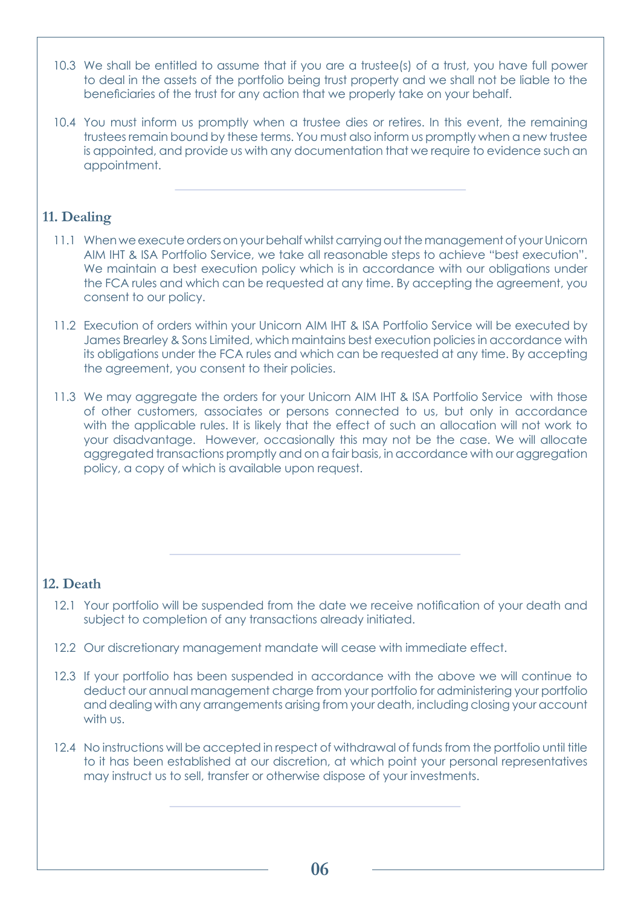- 10.3 We shall be entitled to assume that if you are a trustee(s) of a trust, you have full power to deal in the assets of the portfolio being trust property and we shall not be liable to the beneficiaries of the trust for any action that we properly take on your behalf.
- 10.4 You must inform us promptly when a trustee dies or retires. In this event, the remaining trustees remain bound by these terms. You must also inform us promptly when a new trustee is appointed, and provide us with any documentation that we require to evidence such an appointment.

## **11. Dealing**

- 11.1 When we execute orders on your behalf whilst carrying out the management of your Unicorn AIM IHT & ISA Portfolio Service, we take all reasonable steps to achieve "best execution". We maintain a best execution policy which is in accordance with our obligations under the FCA rules and which can be requested at any time. By accepting the agreement, you consent to our policy.
- 11.2 Execution of orders within your Unicorn AIM IHT & ISA Portfolio Service will be executed by James Brearley & Sons Limited, which maintains best execution policies in accordance with its obligations under the FCA rules and which can be requested at any time. By accepting the agreement, you consent to their policies.
- 11.3 We may aggregate the orders for your Unicorn AIM IHT & ISA Portfolio Service with those of other customers, associates or persons connected to us, but only in accordance with the applicable rules. It is likely that the effect of such an allocation will not work to your disadvantage. However, occasionally this may not be the case. We will allocate aggregated transactions promptly and on a fair basis, in accordance with our aggregation policy, a copy of which is available upon request.

# **12. Death**

- 12.1 Your portfolio will be suspended from the date we receive notification of your death and subject to completion of any transactions already initiated.
- 12.2 Our discretionary management mandate will cease with immediate effect.
- 12.3 If your portfolio has been suspended in accordance with the above we will continue to deduct our annual management charge from your portfolio for administering your portfolio and dealing with any arrangements arising from your death, including closing your account with us.
- 12.4 No instructions will be accepted in respect of withdrawal of funds from the portfolio until title to it has been established at our discretion, at which point your personal representatives may instruct us to sell, transfer or otherwise dispose of your investments.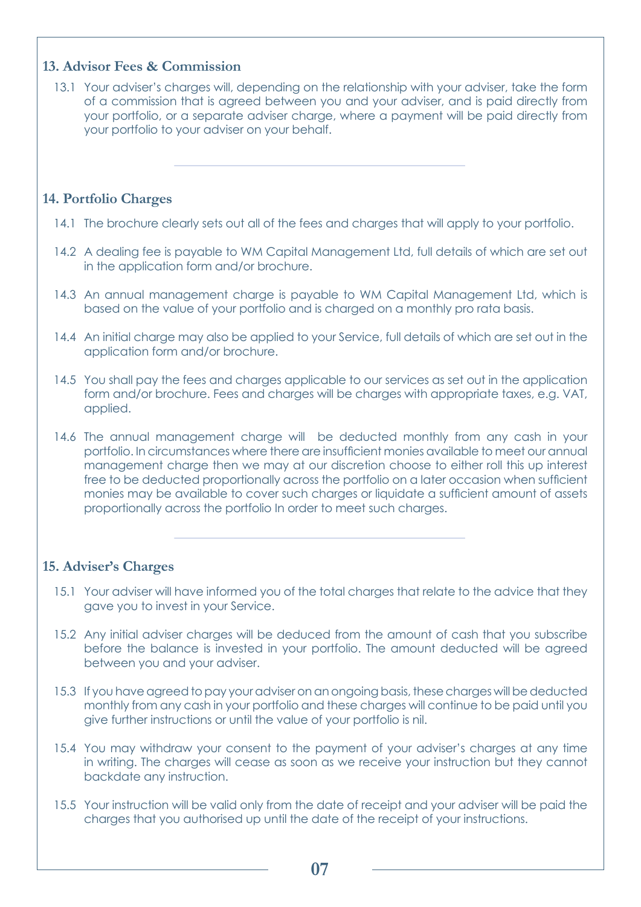## **13. Advisor Fees & Commission**

13.1 Your adviser's charges will, depending on the relationship with your adviser, take the form of a commission that is agreed between you and your adviser, and is paid directly from your portfolio, or a separate adviser charge, where a payment will be paid directly from your portfolio to your adviser on your behalf.

#### **14. Portfolio Charges**

- 14.1 The brochure clearly sets out all of the fees and charges that will apply to your portfolio.
- 14.2 A dealing fee is payable to WM Capital Management Ltd, full details of which are set out in the application form and/or brochure.
- 14.3 An annual management charge is payable to WM Capital Management Ltd, which is based on the value of your portfolio and is charged on a monthly pro rata basis.
- 14.4 An initial charge may also be applied to your Service, full details of which are set out in the application form and/or brochure.
- 14.5 You shall pay the fees and charges applicable to our services as set out in the application form and/or brochure. Fees and charges will be charges with appropriate taxes, e.g. VAT, applied.
- 14.6 The annual management charge will be deducted monthly from any cash in your portfolio. In circumstances where there are insufficient monies available to meet our annual management charge then we may at our discretion choose to either roll this up interest free to be deducted proportionally across the portfolio on a later occasion when sufficient monies may be available to cover such charges or liquidate a sufficient amount of assets proportionally across the portfolio In order to meet such charges.

#### **15. Adviser's Charges**

- 15.1 Your adviser will have informed you of the total charges that relate to the advice that they gave you to invest in your Service.
- 15.2 Any initial adviser charges will be deduced from the amount of cash that you subscribe before the balance is invested in your portfolio. The amount deducted will be agreed between you and your adviser.
- 15.3 If you have agreed to pay your adviser on an ongoing basis, these charges will be deducted monthly from any cash in your portfolio and these charges will continue to be paid until you give further instructions or until the value of your portfolio is nil.
- 15.4 You may withdraw your consent to the payment of your adviser's charges at any time in writing. The charges will cease as soon as we receive your instruction but they cannot backdate any instruction.
- 15.5 Your instruction will be valid only from the date of receipt and your adviser will be paid the charges that you authorised up until the date of the receipt of your instructions.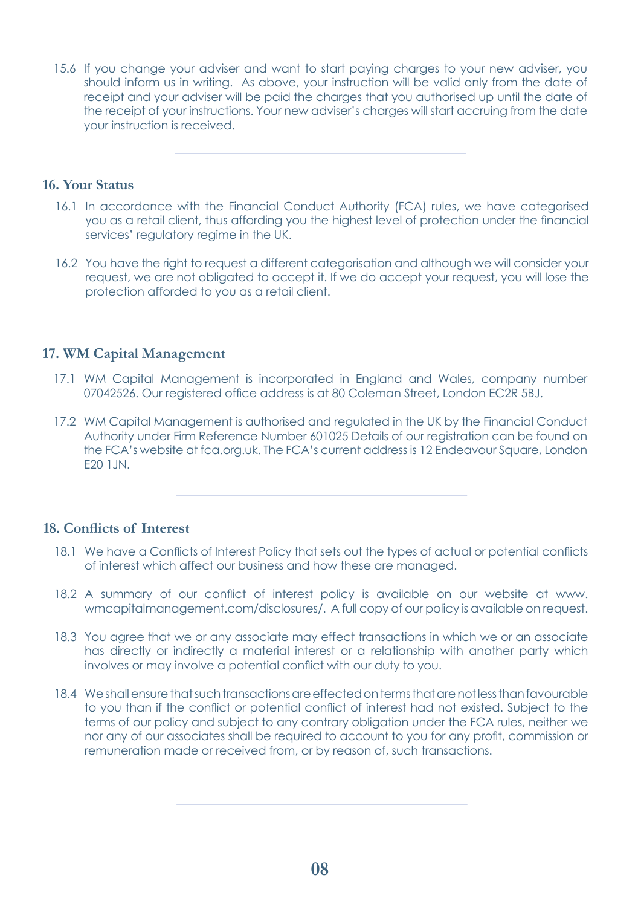15.6 If you change your adviser and want to start paying charges to your new adviser, you should inform us in writing. As above, your instruction will be valid only from the date of receipt and your adviser will be paid the charges that you authorised up until the date of the receipt of your instructions. Your new adviser's charges will start accruing from the date your instruction is received.

# **16. Your Status**

- 16.1 In accordance with the Financial Conduct Authority (FCA) rules, we have categorised you as a retail client, thus affording you the highest level of protection under the financial services' regulatory regime in the UK.
- 16.2 You have the right to request a different categorisation and although we will consider your request, we are not obligated to accept it. If we do accept your request, you will lose the protection afforded to you as a retail client.

# **17. WM Capital Management**

- 17.1 WM Capital Management is incorporated in England and Wales, company number 07042526. Our registered office address is at 80 Coleman Street, London EC2R 5BJ.
- 17.2 WM Capital Management is authorised and regulated in the UK by the Financial Conduct Authority under Firm Reference Number 601025 Details of our registration can be found on the FCA's website at fca.org.uk. The FCA's current address is 12 Endeavour Square, London E20 1JN.

## **18. Conflicts of Interest**

- 18.1 We have a Conflicts of Interest Policy that sets out the types of actual or potential conflicts of interest which affect our business and how these are managed.
- 18.2 A summary of our conflict of interest policy is available on our website at www. wmcapitalmanagement.com/disclosures/. A full copy of our policy is available on request.
- 18.3 You agree that we or any associate may effect transactions in which we or an associate has directly or indirectly a material interest or a relationship with another party which involves or may involve a potential conflict with our duty to you.
- 18.4 We shall ensure that such transactions are effected on terms that are not less than favourable to you than if the conflict or potential conflict of interest had not existed. Subject to the terms of our policy and subject to any contrary obligation under the FCA rules, neither we nor any of our associates shall be required to account to you for any profit, commission or remuneration made or received from, or by reason of, such transactions.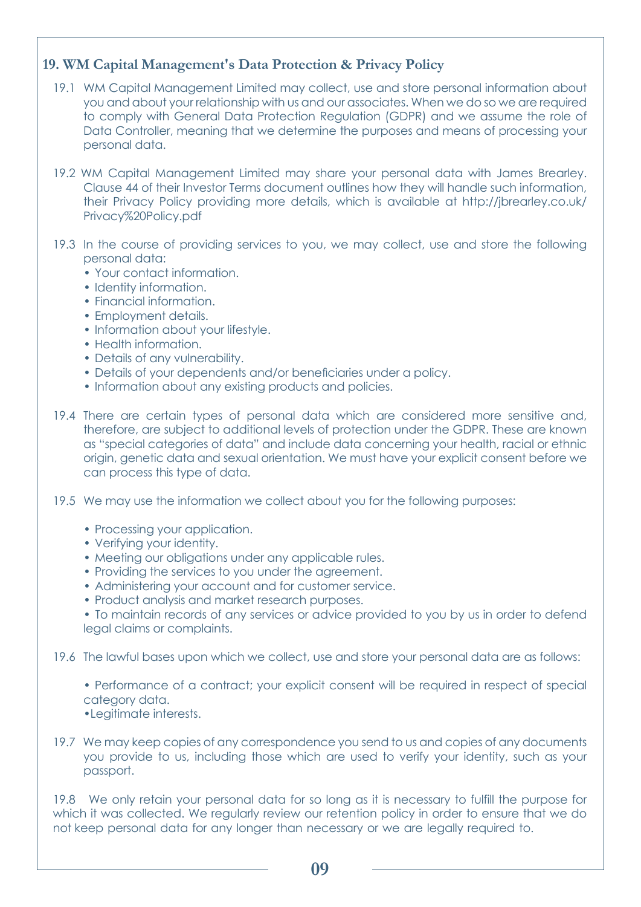# **19. WM Capital Management's Data Protection & Privacy Policy**

- 19.1 WM Capital Management Limited may collect, use and store personal information about you and about your relationship with us and our associates. When we do so we are required to comply with General Data Protection Regulation (GDPR) and we assume the role of Data Controller, meaning that we determine the purposes and means of processing your personal data.
- 19.2 WM Capital Management Limited may share your personal data with James Brearley. Clause 44 of their Investor Terms document outlines how they will handle such information, [their Privacy Policy providing more details, which is available at http://jbrearley.co.uk/](http://jbrearley.co.uk/Privacy%20Policy.pdf) Privacy%20Policy.pdf
- 19.3 In the course of providing services to you, we may collect, use and store the following personal data:
	- Your contact information.
	- Identity information.
	- Financial information.
	- Employment details.
	- Information about your lifestyle.
	- Health information.
	- Details of any vulnerability.
	- Details of your dependents and/or beneficiaries under a policy.
	- Information about any existing products and policies.
- 19.4 There are certain types of personal data which are considered more sensitive and, therefore, are subject to additional levels of protection under the GDPR. These are known as "special categories of data" and include data concerning your health, racial or ethnic origin, genetic data and sexual orientation. We must have your explicit consent before we can process this type of data.
- 19.5 We may use the information we collect about you for the following purposes:
	- Processing your application.
	- Verifying your identity.
	- Meeting our obligations under any applicable rules.
	- Providing the services to you under the agreement.
	- Administering your account and for customer service.
	- Product analysis and market research purposes.
	- To maintain records of any services or advice provided to you by us in order to defend legal claims or complaints.
- 19.6 The lawful bases upon which we collect, use and store your personal data are as follows:

• Performance of a contract; your explicit consent will be required in respect of special category data.

•Legitimate interests.

19.7 We may keep copies of any correspondence you send to us and copies of any documents you provide to us, including those which are used to verify your identity, such as your passport.

19.8 We only retain your personal data for so long as it is necessary to fulfill the purpose for which it was collected. We regularly review our retention policy in order to ensure that we do not keep personal data for any longer than necessary or we are legally required to.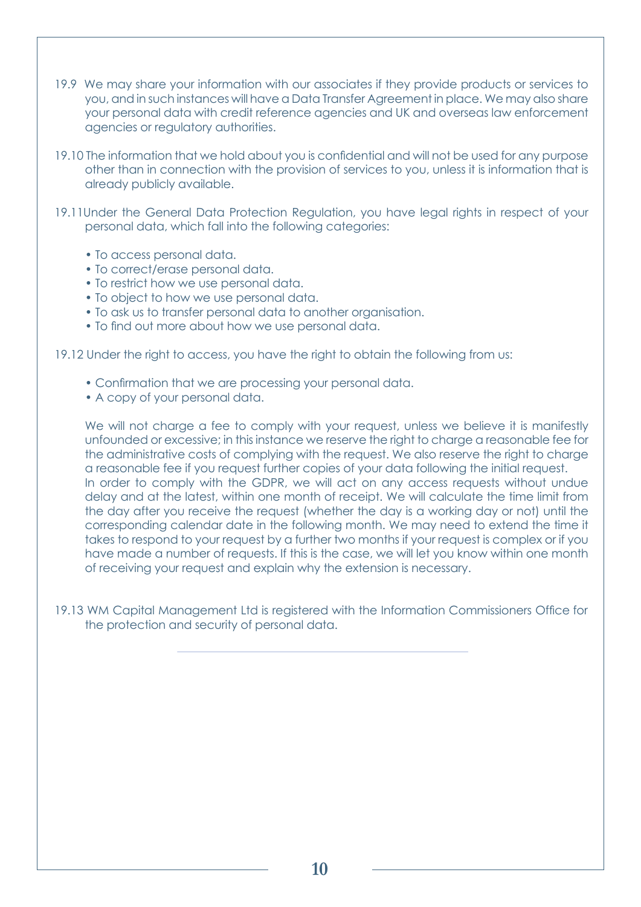- 19.9 We may share your information with our associates if they provide products or services to you, and in such instances will have a Data Transfer Agreement in place. We may also share your personal data with credit reference agencies and UK and overseas law enforcement agencies or regulatory authorities.
- 19.10 The information that we hold about you is confidential and will not be used for any purpose other than in connection with the provision of services to you, unless it is information that is already publicly available.
- 19.11Under the General Data Protection Regulation, you have legal rights in respect of your personal data, which fall into the following categories:
	- To access personal data.
	- To correct/erase personal data.
	- To restrict how we use personal data.
	- To object to how we use personal data.
	- To ask us to transfer personal data to another organisation.
	- To find out more about how we use personal data.
- 19.12 Under the right to access, you have the right to obtain the following from us:
	- Confirmation that we are processing your personal data.
	- A copy of your personal data.

We will not charge a fee to comply with your request, unless we believe it is manifestly unfounded or excessive; in this instance we reserve the right to charge a reasonable fee for the administrative costs of complying with the request. We also reserve the right to charge a reasonable fee if you request further copies of your data following the initial request. In order to comply with the GDPR, we will act on any access requests without undue delay and at the latest, within one month of receipt. We will calculate the time limit from the day after you receive the request (whether the day is a working day or not) until the corresponding calendar date in the following month. We may need to extend the time it takes to respond to your request by a further two months if your request is complex or if you have made a number of requests. If this is the case, we will let you know within one month of receiving your request and explain why the extension is necessary.

19.13 WM Capital Management Ltd is registered with the Information Commissioners Office for the protection and security of personal data.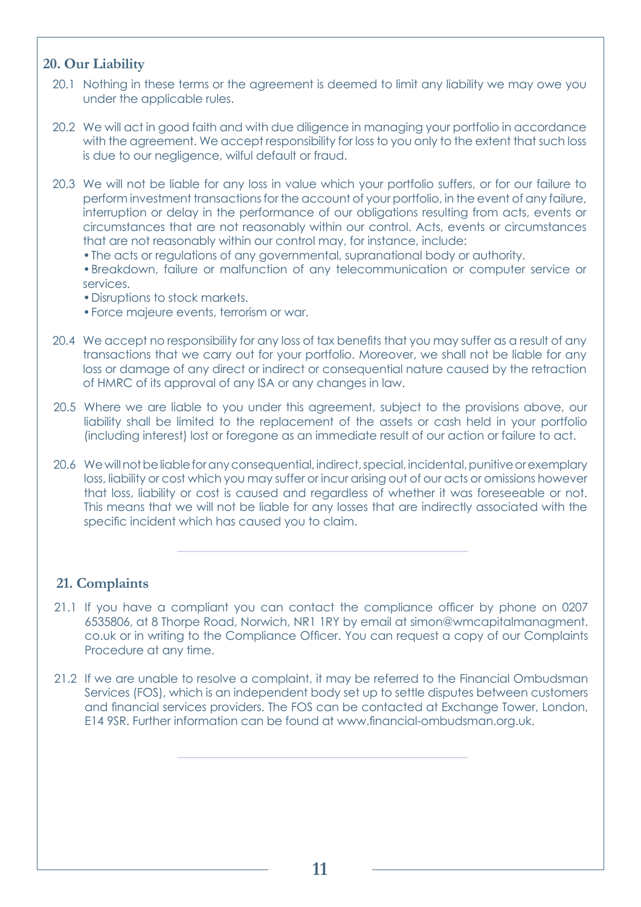#### **20. Our Liability**

- 20.1 Nothing in these terms or the agreement is deemed to limit any liability we may owe you under the applicable rules.
- 20.2 We will act in good faith and with due diligence in managing your portfolio in accordance with the agreement. We accept responsibility for loss to you only to the extent that such loss is due to our negligence, wilful default or fraud.
- 20.3 We will not be liable for any loss in value which your portfolio suffers, or for our failure to perform investment transactions for the account of your portfolio, in the event of any failure, interruption or delay in the performance of our obligations resulting from acts, events or circumstances that are not reasonably within our control. Acts, events or circumstances that are not reasonably within our control may, for instance, include:
	- •The acts or regulations of any governmental, supranational body or authority.

•Breakdown, failure or malfunction of any telecommunication or computer service or services.

- •Disruptions to stock markets.
- •Force majeure events, terrorism or war.
- 20.4 We accept no responsibility for any loss of tax benefits that you may suffer as a result of any transactions that we carry out for your portfolio. Moreover, we shall not be liable for any loss or damage of any direct or indirect or consequential nature caused by the retraction of HMRC of its approval of any ISA or any changes in law.
- 20.5 Where we are liable to you under this agreement, subject to the provisions above, our liability shall be limited to the replacement of the assets or cash held in your portfolio (including interest) lost or foregone as an immediate result of our action or failure to act.
- 20.6 We will not be liable for any consequential, indirect, special, incidental, punitive or exemplary loss, liability or cost which you may suffer or incur arising out of our acts or omissions however that loss, liability or cost is caused and regardless of whether it was foreseeable or not. This means that we will not be liable for any losses that are indirectly associated with the specific incident which has caused you to claim.

#### **21. Complaints**

- 21.1 If you have a compliant you can contact the compliance officer by phone on 0207 6535806, at 8 Thorpe Road, Norwich, NR1 1RY by email at simon@wmcapitalmanagment. co.uk or in writing to the Compliance Officer. You can request a copy of our Complaints Procedure at any time.
- 21.2 If we are unable to resolve a complaint, it may be referred to the Financial Ombudsman Services (FOS), which is an independent body set up to settle disputes between customers and financial services providers. The FOS can be contacted at Exchange Tower, London, E14 9SR. Further information can be found at www.financial-ombudsman.org.uk.